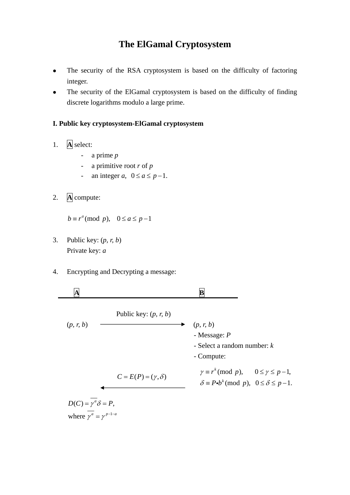## **The ElGamal Cryptosystem**

- The security of the RSA cryptosystem is based on the difficulty of factoring integer.
- The security of the ElGamal cryptosystem is based on the difficulty of finding discrete logarithms modulo a large prime.

#### **I. Public key cryptosystem-ElGamal cryptosystem**

- 1. **A** select:
	- a prime *p*
	- a primitive root *r* of *p*
	- an integer *a*,  $0 \le a \le p-1$ .
- 2. **A** compute:

 $b \equiv r^a \pmod{p}$ ,  $0 \le a \le p-1$ 

- 3. Public key: (*p, r, b*) Private key: *a*
- 4. Encrypting and Decrypting a message:



where  $\gamma^a = \gamma^{p-1-a}$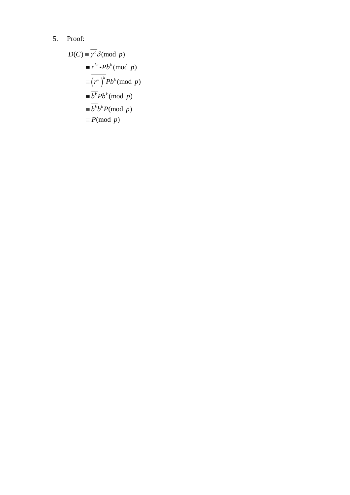# 5. Proof:

$$
D(C) = \gamma^a \delta \pmod{p}
$$
  
\n
$$
= \overline{r^{ka}} \cdot Pb^k \pmod{p}
$$
  
\n
$$
= \overline{\left(r^a\right)^k} Pb^k \pmod{p}
$$
  
\n
$$
= \overline{b^k} Pb^k \pmod{p}
$$
  
\n
$$
= \overline{b^k} b^k P \pmod{p}
$$
  
\n
$$
= P \pmod{p}
$$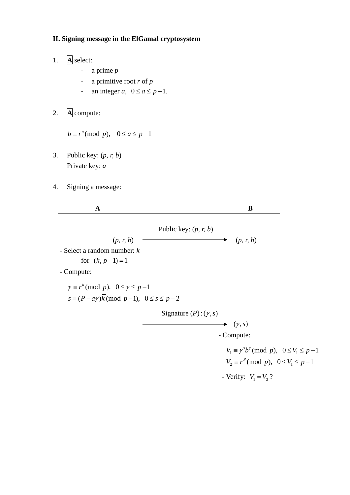### **II. Signing message in the ElGamal cryptosystem**

- 1. **A** select:
	- a prime *p*
	- a primitive root *r* of *p*
	- an integer *a*,  $0 \le a \le p-1$ .
- 2. **A** compute:

 $b \equiv r^a \pmod{p}$ ,  $0 \le a \le p-1$ 

- 3. Public key: (*p, r, b*) Private key: *a*
- 4. Signing a message:

| $\mathbf A$                                                            |                                 | B                                                               |
|------------------------------------------------------------------------|---------------------------------|-----------------------------------------------------------------|
|                                                                        | Public key: $(p, r, b)$         |                                                                 |
| (p, r, b)                                                              |                                 | (p, r, b)<br>▸                                                  |
| - Select a random number: $k$                                          |                                 |                                                                 |
| for $(k, p-1)=1$                                                       |                                 |                                                                 |
| - Compute:                                                             |                                 |                                                                 |
| $\gamma \equiv r^k \pmod{p}$ , $0 \leq \gamma \leq p-1$                |                                 |                                                                 |
| $s \equiv (P - a\gamma)\overline{k} \pmod{p-1}, \ \ 0 \leq s \leq p-2$ |                                 |                                                                 |
|                                                                        | Signature $(P)$ : $(\gamma, s)$ |                                                                 |
|                                                                        |                                 | $\blacktriangleright$ $(\gamma, s)$                             |
|                                                                        |                                 | - Compute:                                                      |
|                                                                        |                                 | $V_1 \equiv \gamma^s b^{\gamma} \pmod{p}$ , $0 \le V_1 \le p-1$ |
|                                                                        |                                 | $V_2 \equiv r^P \pmod{p}$ , $0 \le V_1 \le p-1$                 |
|                                                                        |                                 | - Verify: $V_1 = V_2$ ?                                         |